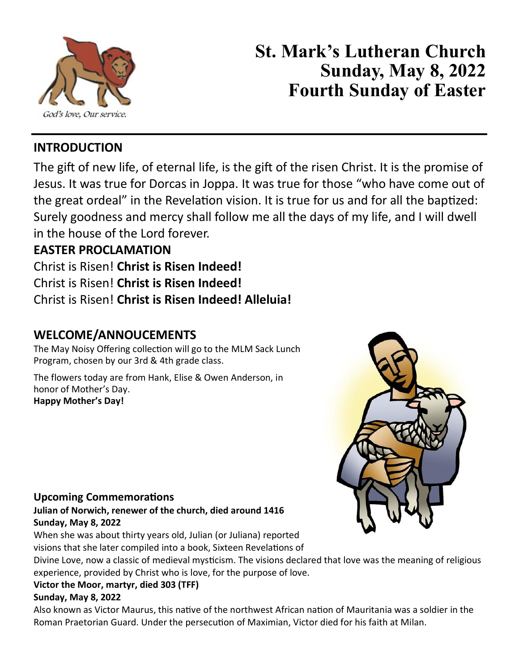

# **St. Mark's Lutheran Church Sunday, May 8, 2022 Fourth Sunday of Easter**

# **INTRODUCTION**

The gift of new life, of eternal life, is the gift of the risen Christ. It is the promise of Jesus. It was true for Dorcas in Joppa. It was true for those "who have come out of the great ordeal" in the Revelation vision. It is true for us and for all the baptized: Surely goodness and mercy shall follow me all the days of my life, and I will dwell in the house of the Lord forever.

# **EASTER PROCLAMATION**

Christ is Risen! **Christ is Risen Indeed!** Christ is Risen! **Christ is Risen Indeed!** Christ is Risen! **Christ is Risen Indeed! Alleluia!**

# **WELCOME/ANNOUCEMENTS**

The May Noisy Offering collection will go to the MLM Sack Lunch Program, chosen by our 3rd & 4th grade class.

The flowers today are from Hank, Elise & Owen Anderson, in honor of Mother's Day. **Happy Mother's Day!**



#### **Upcoming Commemorations**

**Julian of Norwich, renewer of the church, died around 1416 Sunday, May 8, 2022**

When she was about thirty years old, Julian (or Juliana) reported visions that she later compiled into a book, Sixteen Revelations of

Divine Love, now a classic of medieval mysticism. The visions declared that love was the meaning of religious experience, provided by Christ who is love, for the purpose of love.

#### **Victor the Moor, martyr, died 303 (TFF)**

#### **Sunday, May 8, 2022**

Also known as Victor Maurus, this native of the northwest African nation of Mauritania was a soldier in the Roman Praetorian Guard. Under the persecution of Maximian, Victor died for his faith at Milan.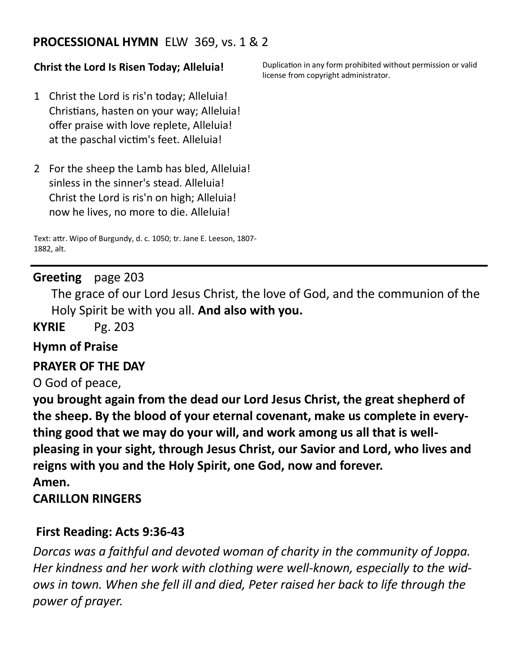### **PROCESSIONAL HYMN** ELW 369, vs. 1 & 2

#### **Christ the Lord Is Risen Today; Alleluia!**

1 Christ the Lord is ris'n today; Alleluia! Christians, hasten on your way; Alleluia! offer praise with love replete, Alleluia! at the paschal victim's feet. Alleluia!

2 For the sheep the Lamb has bled, Alleluia! sinless in the sinner's stead. Alleluia! Christ the Lord is ris'n on high; Alleluia! now he lives, no more to die. Alleluia!

Text: attr. Wipo of Burgundy, d. c. 1050; tr. Jane E. Leeson, 1807- 1882, alt.

#### **Greeting** page 203

The grace of our Lord Jesus Christ, the love of God, and the communion of the Holy Spirit be with you all. **And also with you.**

**KYRIE** Pg. 203

#### **Hymn of Praise**

#### **PRAYER OF THE DAY**

O God of peace,

**you brought again from the dead our Lord Jesus Christ, the great shepherd of the sheep. By the blood of your eternal covenant, make us complete in everything good that we may do your will, and work among us all that is wellpleasing in your sight, through Jesus Christ, our Savior and Lord, who lives and reigns with you and the Holy Spirit, one God, now and forever. Amen.**

#### **CARILLON RINGERS**

#### **First Reading: Acts 9:36-43**

*Dorcas was a faithful and devoted woman of charity in the community of Joppa. Her kindness and her work with clothing were well-known, especially to the widows in town. When she fell ill and died, Peter raised her back to life through the power of prayer.*

Duplication in any form prohibited without permission or valid license from copyright administrator.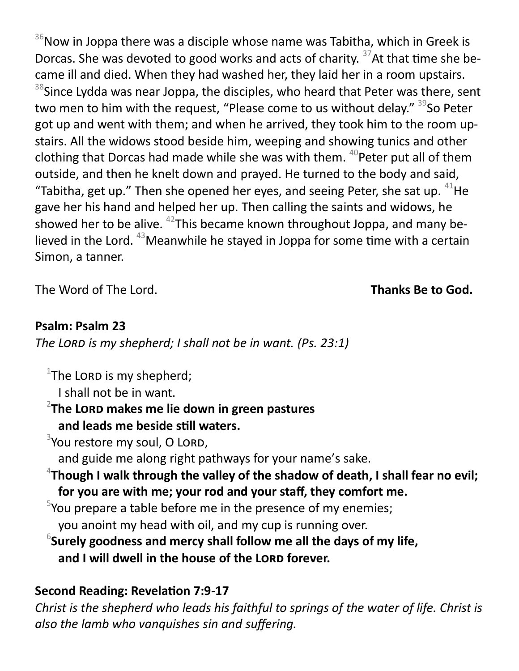$36$ Now in Joppa there was a disciple whose name was Tabitha, which in Greek is Dorcas. She was devoted to good works and acts of charity.  $37$ At that time she became ill and died. When they had washed her, they laid her in a room upstairs. <sup>38</sup>Since Lydda was near Joppa, the disciples, who heard that Peter was there, sent two men to him with the request, "Please come to us without delay." <sup>39</sup>So Peter got up and went with them; and when he arrived, they took him to the room upstairs. All the widows stood beside him, weeping and showing tunics and other clothing that Dorcas had made while she was with them.  $40P$  Peter put all of them outside, and then he knelt down and prayed. He turned to the body and said, "Tabitha, get up." Then she opened her eyes, and seeing Peter, she sat up.  $41$ He gave her his hand and helped her up. Then calling the saints and widows, he showed her to be alive.  $42$ This became known throughout Joppa, and many believed in the Lord.  $43$  Meanwhile he stayed in Joppa for some time with a certain Simon, a tanner.

The Word of The Lord. **Thanks Be to God.** 

# **Psalm: Psalm 23**

*The Lord is my shepherd; I shall not be in want. (Ps. 23:1)*

 $1$ The LORD is my shepherd;

I shall not be in want.

2 **The Lord makes me lie down in green pastures and leads me beside still waters.**

 $3$ You restore my soul, O LORD,

and guide me along right pathways for your name's sake.

- 4 **Though I walk through the valley of the shadow of death, I shall fear no evil; for you are with me; your rod and your staff, they comfort me.**
- $5$ You prepare a table before me in the presence of my enemies; you anoint my head with oil, and my cup is running over.
- $^6$ Surely goodness and mercy shall follow me all the days of my life, and I will dwell in the house of the LORD forever.

# **Second Reading: Revelation 7:9-17**

*Christ is the shepherd who leads his faithful to springs of the water of life. Christ is also the lamb who vanquishes sin and suffering.*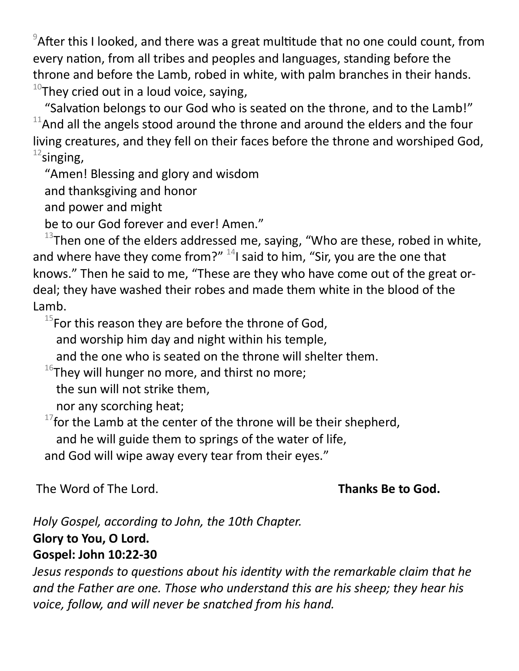$9$ After this I looked, and there was a great multitude that no one could count, from every nation, from all tribes and peoples and languages, standing before the throne and before the Lamb, robed in white, with palm branches in their hands.  $10$ They cried out in a loud voice, saying,

"Salvation belongs to our God who is seated on the throne, and to the Lamb!"  $11$ And all the angels stood around the throne and around the elders and the four living creatures, and they fell on their faces before the throne and worshiped God,  $12$ singing,

"Amen! Blessing and glory and wisdom

and thanksgiving and honor

and power and might

be to our God forever and ever! Amen."

 $13$ Then one of the elders addressed me, saying, "Who are these, robed in white, and where have they come from?"  $^{14}$ I said to him, "Sir, you are the one that knows." Then he said to me, "These are they who have come out of the great ordeal; they have washed their robes and made them white in the blood of the Lamb.

 $15$ For this reason they are before the throne of God,

and worship him day and night within his temple,

and the one who is seated on the throne will shelter them.

 $^{16}$ They will hunger no more, and thirst no more;

the sun will not strike them,

nor any scorching heat;

 $17$  for the Lamb at the center of the throne will be their shepherd,

and he will guide them to springs of the water of life,

and God will wipe away every tear from their eyes."

The Word of The Lord. **Thanks Be to God.** 

*Holy Gospel, according to John, the 10th Chapter.* **Glory to You, O Lord. Gospel: John 10:22-30** 

*Jesus responds to questions about his identity with the remarkable claim that he and the Father are one. Those who understand this are his sheep; they hear his voice, follow, and will never be snatched from his hand.*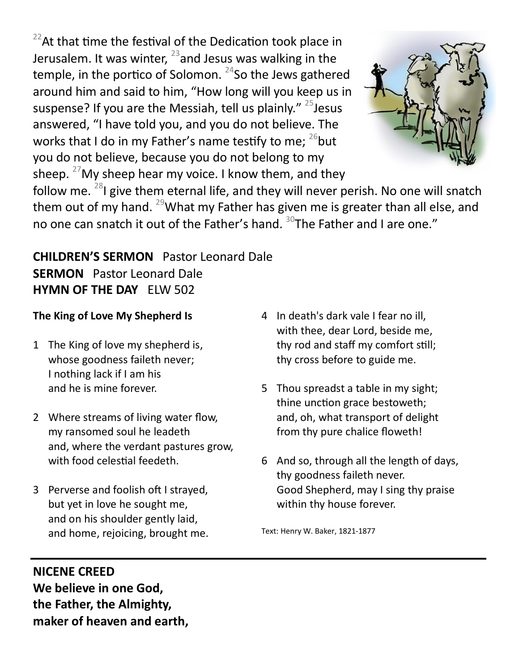$22$ At that time the festival of the Dedication took place in Jerusalem. It was winter,  $^{23}$  and Jesus was walking in the temple, in the portico of Solomon.  $24$ So the Jews gathered around him and said to him, "How long will you keep us in suspense? If you are the Messiah, tell us plainly."  $25$  Jesus answered, "I have told you, and you do not believe. The works that I do in my Father's name testify to me;  $^{26}$  but you do not believe, because you do not belong to my sheep.  $27$  My sheep hear my voice. I know them, and they



follow me.  $^{28}$ I give them eternal life, and they will never perish. No one will snatch them out of my hand. <sup>29</sup>What my Father has given me is greater than all else, and no one can snatch it out of the Father's hand. <sup>30</sup>The Father and I are one."

# **CHILDREN'S SERMON** Pastor Leonard Dale **SERMON** Pastor Leonard Dale **HYMN OF THE DAY** ELW 502

#### **The King of Love My Shepherd Is**

- 1 The King of love my shepherd is, whose goodness faileth never; I nothing lack if I am his and he is mine forever.
- 2 Where streams of living water flow, my ransomed soul he leadeth and, where the verdant pastures grow, with food celestial feedeth.
- 3 Perverse and foolish oft I strayed, but yet in love he sought me, and on his shoulder gently laid, and home, rejoicing, brought me.
- 4 In death's dark vale I fear no ill, with thee, dear Lord, beside me, thy rod and staff my comfort still; thy cross before to guide me.
- 5 Thou spreadst a table in my sight; thine unction grace bestoweth; and, oh, what transport of delight from thy pure chalice floweth!
- 6 And so, through all the length of days, thy goodness faileth never. Good Shepherd, may I sing thy praise within thy house forever.

Text: Henry W. Baker, 1821-1877

#### **NICENE CREED**

**We believe in one God, the Father, the Almighty, maker of heaven and earth,**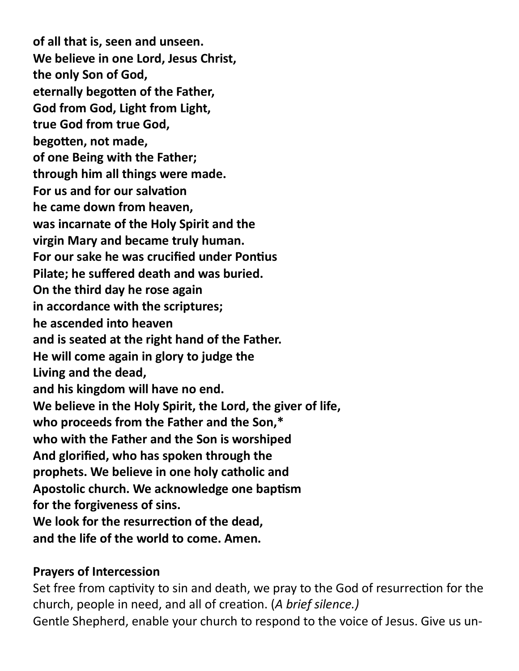**of all that is, seen and unseen. We believe in one Lord, Jesus Christ, the only Son of God, eternally begotten of the Father, God from God, Light from Light, true God from true God, begotten, not made, of one Being with the Father; through him all things were made. For us and for our salvation he came down from heaven, was incarnate of the Holy Spirit and the virgin Mary and became truly human. For our sake he was crucified under Pontius Pilate; he suffered death and was buried. On the third day he rose again in accordance with the scriptures; he ascended into heaven and is seated at the right hand of the Father. He will come again in glory to judge the Living and the dead, and his kingdom will have no end. We believe in the Holy Spirit, the Lord, the giver of life, who proceeds from the Father and the Son,\* who with the Father and the Son is worshiped And glorified, who has spoken through the prophets. We believe in one holy catholic and Apostolic church. We acknowledge one baptism for the forgiveness of sins. We look for the resurrection of the dead, and the life of the world to come. Amen.**

#### **Prayers of Intercession**

Set free from captivity to sin and death, we pray to the God of resurrection for the church, people in need, and all of creation. (*A brief silence.)* Gentle Shepherd, enable your church to respond to the voice of Jesus. Give us un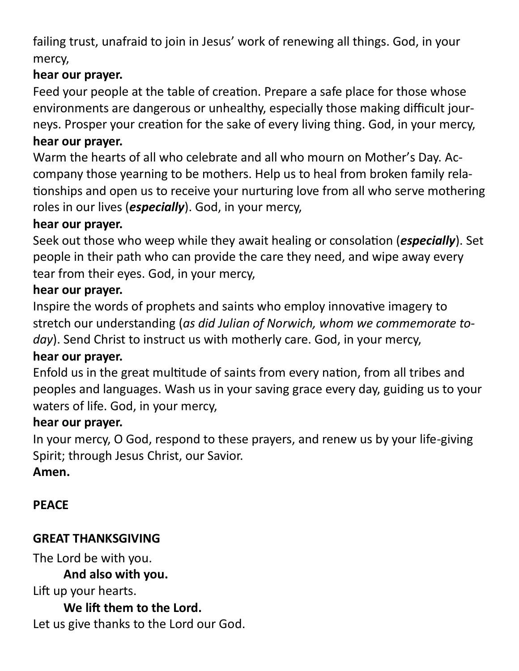failing trust, unafraid to join in Jesus' work of renewing all things. God, in your mercy,

# **hear our prayer.**

Feed your people at the table of creation. Prepare a safe place for those whose environments are dangerous or unhealthy, especially those making difficult journeys. Prosper your creation for the sake of every living thing. God, in your mercy, **hear our prayer.**

Warm the hearts of all who celebrate and all who mourn on Mother's Day. Accompany those yearning to be mothers. Help us to heal from broken family relationships and open us to receive your nurturing love from all who serve mothering roles in our lives (*especially*). God, in your mercy,

### **hear our prayer.**

Seek out those who weep while they await healing or consolation (*especially*). Set people in their path who can provide the care they need, and wipe away every tear from their eyes. God, in your mercy,

### **hear our prayer.**

Inspire the words of prophets and saints who employ innovative imagery to stretch our understanding (*as did Julian of Norwich, whom we commemorate today*). Send Christ to instruct us with motherly care. God, in your mercy,

# **hear our prayer.**

Enfold us in the great multitude of saints from every nation, from all tribes and peoples and languages. Wash us in your saving grace every day, guiding us to your waters of life. God, in your mercy,

# **hear our prayer.**

In your mercy, O God, respond to these prayers, and renew us by your life-giving Spirit; through Jesus Christ, our Savior.

# **Amen.**

# **PEACE**

# **GREAT THANKSGIVING**

The Lord be with you.

**And also with you.** 

Lift up your hearts.

**We lift them to the Lord.**  Let us give thanks to the Lord our God.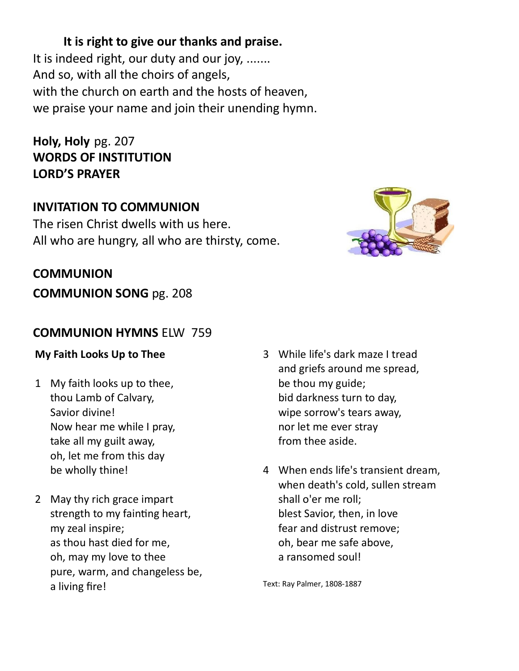# **It is right to give our thanks and praise.**

It is indeed right, our duty and our joy, ....... And so, with all the choirs of angels, with the church on earth and the hosts of heaven, we praise your name and join their unending hymn.

**Holy, Holy** pg. 207 **WORDS OF INSTITUTION LORD'S PRAYER** 

# **INVITATION TO COMMUNION**

The risen Christ dwells with us here. All who are hungry, all who are thirsty, come.



# **COMMUNION**

**COMMUNION SONG** pg. 208

# **COMMUNION HYMNS** ELW 759

#### **My Faith Looks Up to Thee**

- 1 My faith looks up to thee, thou Lamb of Calvary, Savior divine! Now hear me while I pray, take all my guilt away, oh, let me from this day be wholly thine!
- 2 May thy rich grace impart strength to my fainting heart, my zeal inspire; as thou hast died for me, oh, may my love to thee pure, warm, and changeless be, a living fire!
- 3 While life's dark maze I tread and griefs around me spread, be thou my guide; bid darkness turn to day, wipe sorrow's tears away, nor let me ever stray from thee aside.
- 4 When ends life's transient dream, when death's cold, sullen stream shall o'er me roll; blest Savior, then, in love fear and distrust remove; oh, bear me safe above, a ransomed soul!

Text: Ray Palmer, 1808-1887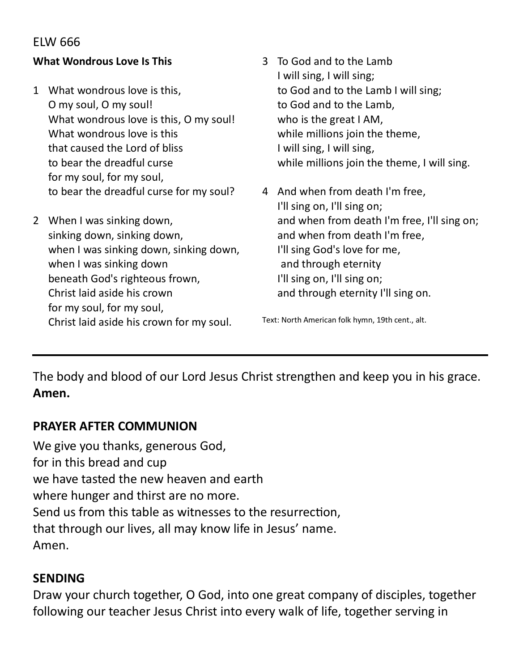### ELW 666

#### **What Wondrous Love Is This**

- 1 What wondrous love is this, O my soul, O my soul! What wondrous love is this, O my soul! What wondrous love is this that caused the Lord of bliss to bear the dreadful curse for my soul, for my soul, to bear the dreadful curse for my soul?
- 2 When I was sinking down, sinking down, sinking down, when I was sinking down, sinking down, when I was sinking down beneath God's righteous frown, Christ laid aside his crown for my soul, for my soul, Christ laid aside his crown for my soul.
- 3 To God and to the Lamb I will sing, I will sing; to God and to the Lamb I will sing; to God and to the Lamb, who is the great I AM, while millions join the theme, I will sing, I will sing, while millions join the theme, I will sing.
- 4 And when from death I'm free, I'll sing on, I'll sing on; and when from death I'm free, I'll sing on; and when from death I'm free, I'll sing God's love for me, and through eternity I'll sing on, I'll sing on; and through eternity I'll sing on.

Text: North American folk hymn, 19th cent., alt.

The body and blood of our Lord Jesus Christ strengthen and keep you in his grace. **Amen.**

#### **PRAYER AFTER COMMUNION**

We give you thanks, generous God, for in this bread and cup we have tasted the new heaven and earth where hunger and thirst are no more. Send us from this table as witnesses to the resurrection, that through our lives, all may know life in Jesus' name. Amen.

#### **SENDING**

Draw your church together, O God, into one great company of disciples, together following our teacher Jesus Christ into every walk of life, together serving in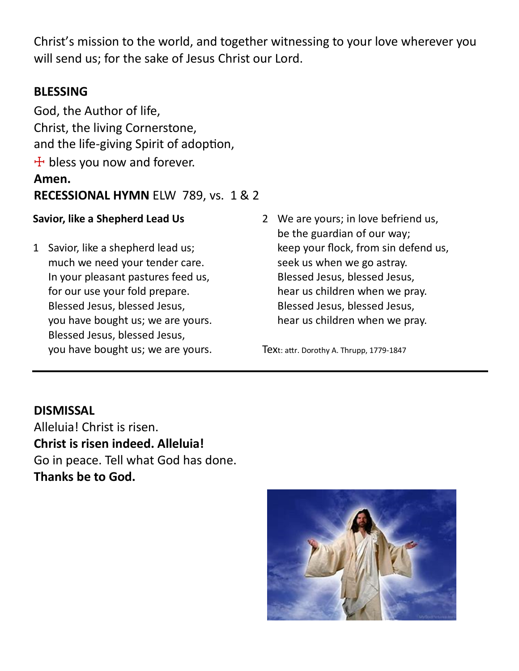Christ's mission to the world, and together witnessing to your love wherever you will send us; for the sake of Jesus Christ our Lord.

# **BLESSING**

God, the Author of life, Christ, the living Cornerstone, and the life-giving Spirit of adoption,  $+$  bless you now and forever. **Amen. RECESSIONAL HYMN** ELW 789, vs. 1 & 2

#### **Savior, like a Shepherd Lead Us**

- 1 Savior, like a shepherd lead us; much we need your tender care. In your pleasant pastures feed us, for our use your fold prepare. Blessed Jesus, blessed Jesus, you have bought us; we are yours. Blessed Jesus, blessed Jesus, you have bought us; we are yours.
- 2 We are yours; in love befriend us, be the guardian of our way; keep your flock, from sin defend us, seek us when we go astray. Blessed Jesus, blessed Jesus, hear us children when we pray. Blessed Jesus, blessed Jesus, hear us children when we pray.

Text: attr. Dorothy A. Thrupp, 1779-1847

#### **DISMISSAL**

Alleluia! Christ is risen. **Christ is risen indeed. Alleluia!** Go in peace. Tell what God has done. **Thanks be to God.**